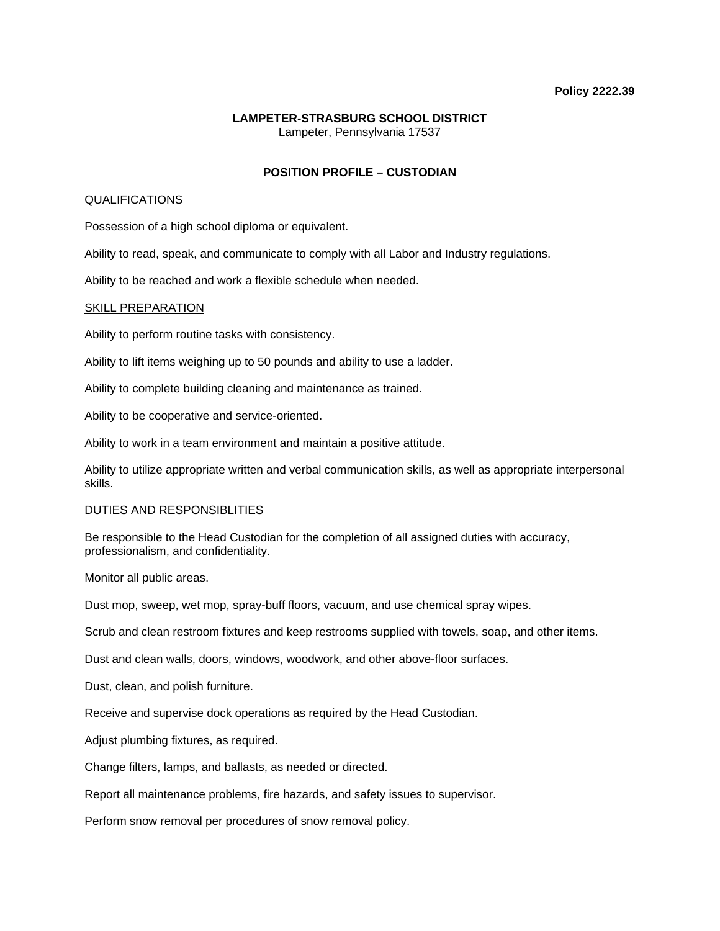### **Policy 2222.39**

# **LAMPETER-STRASBURG SCHOOL DISTRICT**  Lampeter, Pennsylvania 17537

## **POSITION PROFILE – CUSTODIAN**

## QUALIFICATIONS

Possession of a high school diploma or equivalent.

Ability to read, speak, and communicate to comply with all Labor and Industry regulations.

Ability to be reached and work a flexible schedule when needed.

### SKILL PREPARATION

Ability to perform routine tasks with consistency.

Ability to lift items weighing up to 50 pounds and ability to use a ladder.

Ability to complete building cleaning and maintenance as trained.

Ability to be cooperative and service-oriented.

Ability to work in a team environment and maintain a positive attitude.

Ability to utilize appropriate written and verbal communication skills, as well as appropriate interpersonal skills.

### DUTIES AND RESPONSIBLITIES

Be responsible to the Head Custodian for the completion of all assigned duties with accuracy, professionalism, and confidentiality.

Monitor all public areas.

Dust mop, sweep, wet mop, spray-buff floors, vacuum, and use chemical spray wipes.

Scrub and clean restroom fixtures and keep restrooms supplied with towels, soap, and other items.

Dust and clean walls, doors, windows, woodwork, and other above-floor surfaces.

Dust, clean, and polish furniture.

Receive and supervise dock operations as required by the Head Custodian.

Adjust plumbing fixtures, as required.

Change filters, lamps, and ballasts, as needed or directed.

Report all maintenance problems, fire hazards, and safety issues to supervisor.

Perform snow removal per procedures of snow removal policy.